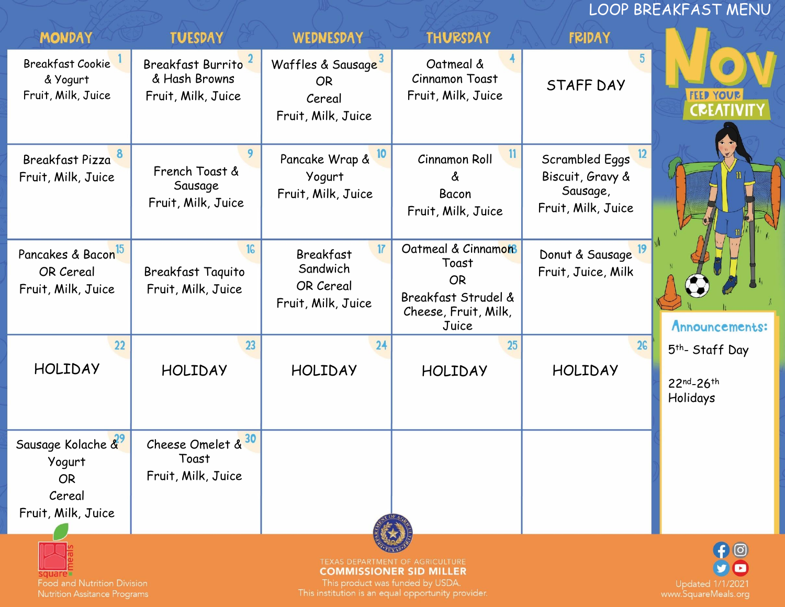LOOP BREAKFAST MENU

| <b>MONDAY</b>                                                                                                                                                                                                                                                   | <b>TUESDAY</b>                                                        | WEDNESDAY                                                                   | <b>THURSDAY</b>                                                                                  | <b>FRIDAY</b>                                                                          |                                                      |  |
|-----------------------------------------------------------------------------------------------------------------------------------------------------------------------------------------------------------------------------------------------------------------|-----------------------------------------------------------------------|-----------------------------------------------------------------------------|--------------------------------------------------------------------------------------------------|----------------------------------------------------------------------------------------|------------------------------------------------------|--|
| <b>Breakfast Cookie</b><br>& Yogurt<br>Fruit, Milk, Juice                                                                                                                                                                                                       | Breakfast Burrito <sup>2</sup><br>& Hash Browns<br>Fruit, Milk, Juice | Waffles & Sausage <sup>3</sup><br><b>OR</b><br>Cereal<br>Fruit, Milk, Juice | Oatmeal &<br><b>Cinnamon Toast</b><br>Fruit, Milk, Juice                                         | STAFF DAY                                                                              | <b>FEED YOUR</b><br><b>CREATIVIT</b>                 |  |
| Breakfast Pizza<br>Fruit, Milk, Juice                                                                                                                                                                                                                           | French Toast &<br>Sausage<br>Fruit, Milk, Juice                       | 10<br>Pancake Wrap &<br>Yogurt<br>Fruit, Milk, Juice                        | Cinnamon Roll<br>&<br>Bacon<br>Fruit, Milk, Juice                                                | $\frac{12}{2}$<br>Scrambled Eggs<br>Biscuit, Gravy &<br>Sausage,<br>Fruit, Milk, Juice |                                                      |  |
| Pancakes & Bacon <sup>15</sup><br>OR Cereal<br>Fruit, Milk, Juice                                                                                                                                                                                               | <b>Breakfast Taquito</b><br>Fruit, Milk, Juice                        | 17<br>Breakfast<br>Sandwich<br>OR Cereal<br>Fruit, Milk, Juice              | Oatmeal & Cinnamon<br>Toast<br><b>OR</b><br>Breakfast Strudel &<br>Cheese, Fruit, Milk,<br>Juice | Donut & Sausage <sup>19</sup><br>Fruit, Juice, Milk                                    | Announcements:                                       |  |
| 22<br><b>HOLIDAY</b>                                                                                                                                                                                                                                            | 23<br><b>HOLIDAY</b>                                                  | 24<br><b>HOLIDAY</b>                                                        | 25<br><b>HOLIDAY</b>                                                                             | <b>HOLIDAY</b>                                                                         | 5 <sup>th</sup> - Staff Day<br>22nd-26th<br>Holidays |  |
| Sausage Kolache &<br>Yogurt<br><b>OR</b><br>Cereal<br>Fruit, Milk, Juice                                                                                                                                                                                        | 30<br>Cheese Omelet &<br>Toast<br>Fruit, Milk, Juice                  |                                                                             |                                                                                                  |                                                                                        |                                                      |  |
| TEXAS DEPARTMENT OF AGRICULTURE<br><b>COMMISSIONER SID MILLER</b><br>This product was funded by USDA.<br><b>Food and Nutrition Division</b><br>This institution is an equal opportunity provider.<br><b>Nutrition Assitance Programs</b><br>www.SquareMeals.ord |                                                                       |                                                                             |                                                                                                  |                                                                                        |                                                      |  |